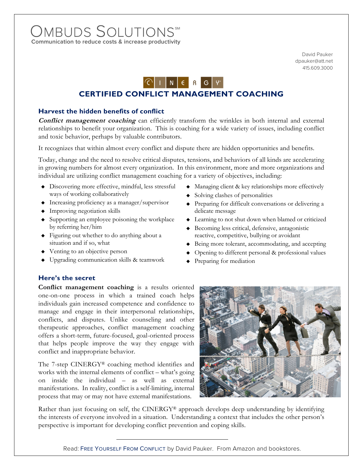# **Communication to reduce costs & increase productivity**  OMBUDS SOLUTIONS

David Pauker dpauker@att.net 415.609.3000



## **CERTIFIED CONFLICT MANAGEMENT COACHING**

### **Harvest the hidden benefits of conflict**

**Conflict management coaching** can efficiently transform the wrinkles in both internal and external relationships to benefit your organization. This is coaching for a wide variety of issues, including conflict and toxic behavior, perhaps by valuable contributors.

It recognizes that within almost every conflict and dispute there are hidden opportunities and benefits.

Today, change and the need to resolve critical disputes, tensions, and behaviors of all kinds are accelerating in growing numbers for almost every organization. In this environment, more and more organizations and individual are utilizing conflict management coaching for a variety of objectives, including:

- Discovering more effective, mindful, less stressful ways of working collaboratively
- Increasing proficiency as a manager/supervisor
- Improving negotiation skills
- Supporting an employee poisoning the workplace by referring her/him
- Figuring out whether to do anything about a situation and if so, what
- Venting to an objective person
- Upgrading communication skills & teamwork
- 

**Here's the secret** 

**Conflict management coaching** is a results oriented one-on-one process in which a trained coach helps individuals gain increased competence and confidence to manage and engage in their interpersonal relationships, conflicts, and disputes. Unlike counseling and other therapeutic approaches, conflict management coaching offers a short-term, future-focused, goal-oriented process that helps people improve the way they engage with conflict and inappropriate behavior.

The 7-step CINERGY® coaching method identifies and works with the internal elements of conflict – what's going on inside the individual – as well as external manifestations. In reality, conflict is a self-limiting, internal process that may or may not have external manifestations.

- Managing client & key relationships more effectively
- Solving clashes of personalities
- Preparing for difficult conversations or delivering a delicate message
- Learning to not shut down when blamed or criticized
- Becoming less critical, defensive, antagonistic reactive, competitive, bullying or avoidant
- ◆ Being more tolerant, accommodating, and accepting
- Opening to different personal & professional values
- Preparing for mediation



Rather than just focusing on self, the CINERGY® approach develops deep understanding by identifying the interests of everyone involved in a situation. Understanding a context that includes the other person's perspective is important for developing conflict prevention and coping skills.